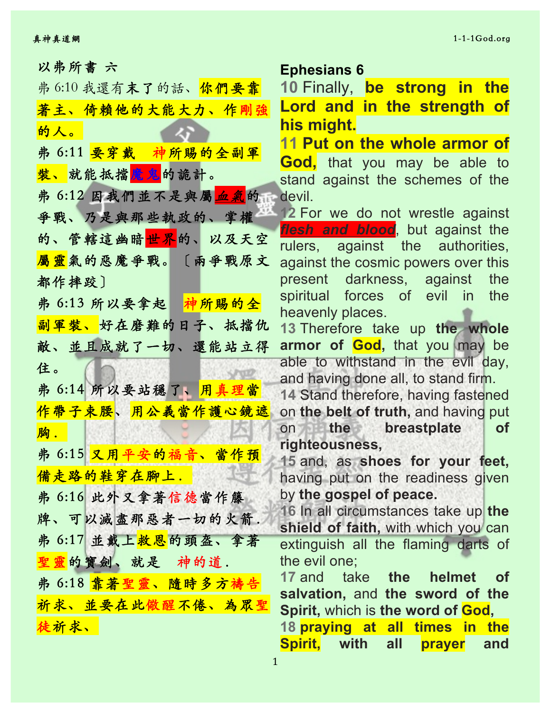以弗所書 六 **Ephesians 6**

| 弗 6:10 我還有末了的話、你們要靠                |
|------------------------------------|
| 著主、倚賴他的大能大力、作剛強                    |
| 的人。                                |
| 弗 6:11 <mark>要穿戴 神所賜的全副軍</mark>    |
| 装、就能抵擋魔鬼的詭計。                       |
| 弗 6:12 因我們並不是與屬 <mark>血氣</mark> 的品 |
| 爭戰、乃是與那些執政的、掌權                     |
| 的、管轄這幽暗 <mark>世界</mark> 的、以及天空     |
| 屬靈氣的惡魔爭戰。〔兩爭戰原文                    |
| 都作摔跤〕                              |
| 弗 6:13 所以要拿起 神所賜的全                 |
| 副軍裝、好在磨難的日子、抵擋仇                    |
| 敵、並且成就了一切、還能站立得                    |
| 住。                                 |
| 弗 6:14 所以要站穩了、 <mark>用真理當</mark>   |
| 作帶子束腰、用公義當作護心鏡遮                    |
| 胸.                                 |
| 弗 6:15 又用平安的福音、當作預                 |
| 備走路的鞋穿在腳上.                         |
| 弗 6:16 此外又拿著信德當作籐                  |
| 牌、可以滅盡那惡者一切的火箭。                    |
| 弗 6:17 並戴上 <mark>救恩</mark> 的頭盔、拿著  |
| 聖靈的寶劍、就是 神的道.                      |
| 弗 6:18 <mark>靠著聖靈、隨時多方禱告</mark>    |
| 祈求、並要在此儆醒不倦、為眾聖                    |
| 徒祈求、                               |

**10** Finally, **be strong in the Lord and in the strength of his might.**

**11 Put on the whole armor of God,** that you may be able to stand against the schemes of the devil.

**12** For we do not wrestle against *flesh and blood*, but against the rulers, against the authorities, against the cosmic powers over this present darkness, against the spiritual forces of evil in the heavenly places.

**13** Therefore take up **the whole armor of God,** that you may be able to withstand in the evil day, and having done all, to stand firm.

**14** Stand therefore, having fastened on **the belt of truth,** and having put on **the breastplate of righteousness,**

**15** and, as **shoes for your feet,** having put on the readiness given by **the gospel of peace.**

**16** In all circumstances take up **the shield of faith,** with which you can extinguish all the flaming darts of the evil one;

**17** and take **the helmet of salvation,** and **the sword of the Spirit,** which is **the word of God,**

**18 praying at all times in the Spirit, with all prayer and**